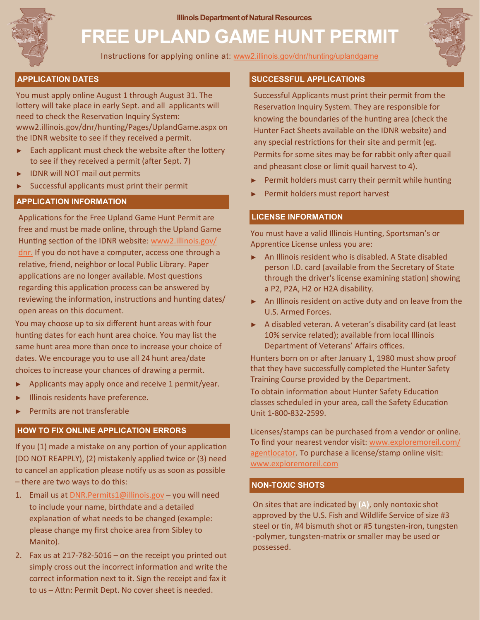**Illinois Department of Natural Resources** 



# **FREE UPLAND GAME HUNT PERMIT**

Instructions for applying online at: [www2.illinois.gov/dnr/hunting/uplandgame](https://www2.illinois.gov/dnr/hunting/uplandgame/Pages/OnlinePermitApplication.aspx)



# **APPLICATION DATES**

You must apply online August 1 through August 31. The lottery will take place in early Sept. and all applicants will need to check the Reservation Inquiry System: www2.illinois.gov/dnr/hunting/Pages/UplandGame.aspx on

the IDNR website to see if they received a permit.

- Each applicant must check the website after the lottery to see if they received a permit (after Sept. 7)
- IDNR will NOT mail out permits
- Successful applicants must print their permit

# **APPLICATION INFORMATION**

Applications for the Free Upland Game Hunt Permit are free and must be made online, through the Upland Game Hunting section of the IDNR website: [www2.illinois.gov/](https://www2.illinois.gov/dnr/Pages/default.aspx) [dnr.](https://www2.illinois.gov/dnr/Pages/default.aspx) If you do not have a computer, access one through a relative, friend, neighbor or local Public Library. Paper applications are no longer available. Most questions regarding this application process can be answered by reviewing the information, instructions and hunting dates/ open areas on this document.

You may choose up to six different hunt areas with four hunting dates for each hunt area choice. You may list the same hunt area more than once to increase your choice of dates. We encourage you to use all 24 hunt area/date choices to increase your chances of drawing a permit.

- Applicants may apply once and receive 1 permit/year.
- Illinois residents have preference.
- Permits are not transferable

# **HOW TO FIX ONLINE APPLICATION ERRORS**

If you (1) made a mistake on any portion of your application (DO NOT REAPPLY), (2) mistakenly applied twice or (3) need to cancel an application please notify us as soon as possible – there are two ways to do this:

- 1. Email us at [DNR.Permits1@illinois.gov](mailto:%20DNR.Permits1@illinois.gov) you will need to include your name, birthdate and a detailed explanation of what needs to be changed (example: please change my first choice area from Sibley to Manito).
- 2. Fax us at 217-782-5016 on the receipt you printed out simply cross out the incorrect information and write the correct information next to it. Sign the receipt and fax it to us – Attn: Permit Dept. No cover sheet is needed.

## **SUCCESSFUL APPLICATIONS**

Successful Applicants must print their permit from the Reservation Inquiry System. They are responsible for knowing the boundaries of the hunting area (check the Hunter Fact Sheets available on the IDNR website) and any special restrictions for their site and permit (eg. Permits for some sites may be for rabbit only after quail and pheasant close or limit quail harvest to 4).

- Permit holders must carry their permit while hunting
- Permit holders must report harvest

# **LICENSE INFORMATION**

You must have a valid Illinois Hunting, Sportsman's or Apprentice License unless you are:

- ► An Illinois resident who is disabled. A State disabled person I.D. card (available from the Secretary of State through the driver's license examining station) showing a P2, P2A, H2 or H2A disability.
- ► An Illinois resident on active duty and on leave from the U.S. Armed Forces.
- ► A disabled veteran. A veteran's disability card (at least 10% service related); available from local Illinois Department of Veterans' Affairs offices.

Hunters born on or after January 1, 1980 must show proof that they have successfully completed the Hunter Safety Training Course provided by the Department.

To obtain information about Hunter Safety Education classes scheduled in your area, call the Safety Education Unit 1-800-832-2599.

Licenses/stamps can be purchased from a vendor or online. To find your nearest vendor visit: [www.exploremoreil.com/](https://www.exploremoreil.com/agentlocator) [agentlocator.](https://www.exploremoreil.com/agentlocator) To purchase a license/stamp online visit: [www.exploremoreil.com](https://www.exploremoreil.com/)

# **NON-TOXIC SHOTS**

On sites that are indicated by **(A)**, only nontoxic shot approved by the U.S. Fish and Wildlife Service of size #3 steel or tin, #4 bismuth shot or #5 tungsten-iron, tungsten -polymer, tungsten-matrix or smaller may be used or possessed.